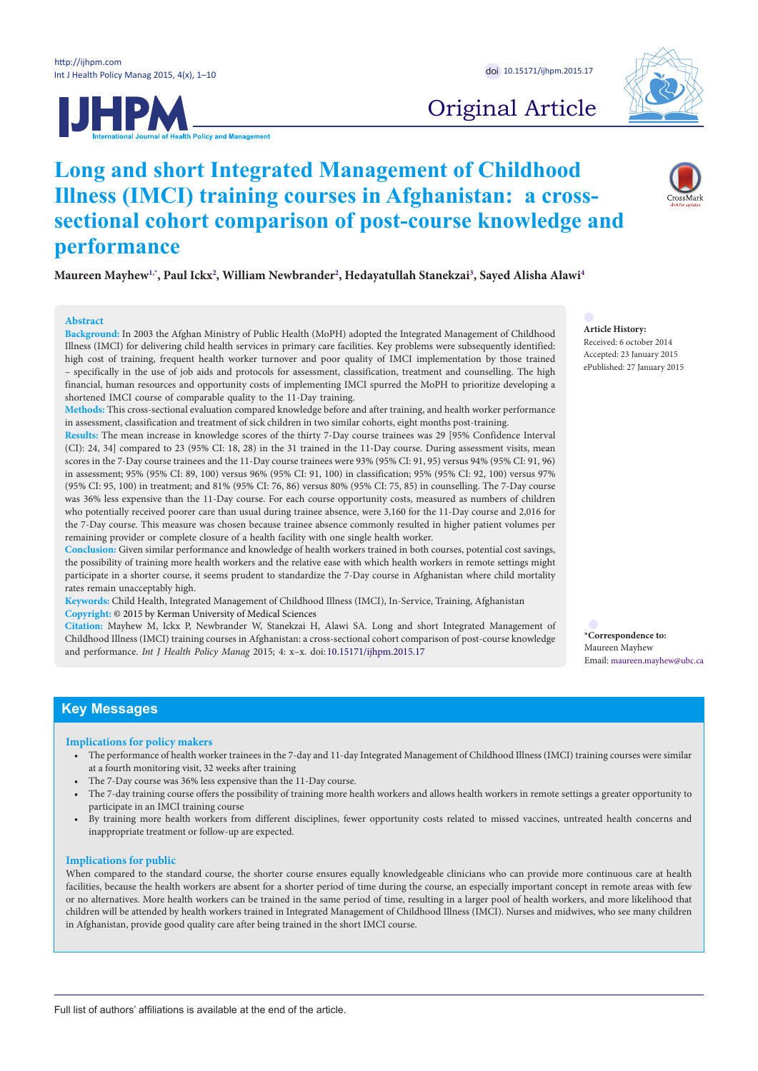



# Original Article

# **Long and short Integrated Management of Childhood Illness (IMCI) training courses in Afghanistan: a crosssectional cohort comparison of post-course knowledge and performance**

**Maureen Mayhew[1](#page-9-0)[,\\*](#page-0-0) , Paul Ick[x2](#page-9-1) , William Newbrande[r2](#page-9-1) , Hedayatullah Stanekza[i3](#page-9-2) , Sayed Alisha Alaw[i4](#page-9-3)**

#### **Abstract**

**Background:** In 2003 the Afghan Ministry of Public Health (MoPH) adopted the Integrated Management of Childhood Illness (IMCI) for delivering child health services in primary care facilities. Key problems were subsequently identified: high cost of training, frequent health worker turnover and poor quality of IMCI implementation by those trained – specifically in the use of job aids and protocols for assessment, classification, treatment and counselling. The high financial, human resources and opportunity costs of implementing IMCI spurred the MoPH to prioritize developing a shortened IMCI course of comparable quality to the 11-Day training.

**Methods:** This cross-sectional evaluation compared knowledge before and after training, and health worker performance in assessment, classification and treatment of sick children in two similar cohorts, eight months post-training.

**Results:** The mean increase in knowledge scores of the thirty 7-Day course trainees was 29 [95% Confidence Interval (CI): 24, 34] compared to 23 (95% CI: 18, 28) in the 31 trained in the 11-Day course. During assessment visits, mean scores in the 7-Day course trainees and the 11-Day course trainees were 93% (95% CI: 91, 95) versus 94% (95% CI: 91, 96) in assessment; 95% (95% CI: 89, 100) versus 96% (95% CI: 91, 100) in classification; 95% (95% CI: 92, 100) versus 97% (95% CI: 95, 100) in treatment; and 81% (95% CI: 76, 86) versus 80% (95% CI: 75, 85) in counselling. The 7-Day course was 36% less expensive than the 11-Day course. For each course opportunity costs, measured as numbers of children who potentially received poorer care than usual during trainee absence, were 3,160 for the 11-Day course and 2,016 for the 7-Day course. This measure was chosen because trainee absence commonly resulted in higher patient volumes per remaining provider or complete closure of a health facility with one single health worker.

**Conclusion:** Given similar performance and knowledge of health workers trained in both courses, potential cost savings, the possibility of training more health workers and the relative ease with which health workers in remote settings might participate in a shorter course, it seems prudent to standardize the 7-Day course in Afghanistan where child mortality rates remain unacceptably high.

**Keywords:** Child Health, Integrated Management of Childhood Illness (IMCI), In-Service, Training, Afghanistan **Copyright:** © 2015 by Kerman University of Medical Sciences

**Citation:** Mayhew M, Ickx P, Newbrander W, Stanekzai H, Alawi SA. Long and short Integrated Management of Childhood Illness (IMCI) training courses in Afghanistan: a cross-sectional cohort comparison of post-course knowledge and performance. *Int J Health Policy Manag* 2015; 4: x–x. doi: 10.15171/ijhpm.2015.17

**Article History:**

Received: 6 october 2014 Accepted: 23 January 2015 ePublished: 27 January 2015

<span id="page-0-0"></span>**\*Correspondence to:** Maureen Mayhew Email: maureen.mayhew@ubc.ca

# **Key Messages**

# **Implications for policy makers**

- The performance of health worker trainees in the 7-day and 11-day Integrated Management of Childhood Illness (IMCI) training courses were similar at a fourth monitoring visit, 32 weeks after training
- The 7-Day course was 36% less expensive than the 11-Day course.
- The 7-day training course offers the possibility of training more health workers and allows health workers in remote settings a greater opportunity to participate in an IMCI training course
- By training more health workers from different disciplines, fewer opportunity costs related to missed vaccines, untreated health concerns and inappropriate treatment or follow-up are expected.

# **Implications for public**

When compared to the standard course, the shorter course ensures equally knowledgeable clinicians who can provide more continuous care at health facilities, because the health workers are absent for a shorter period of time during the course, an especially important concept in remote areas with few or no alternatives. More health workers can be trained in the same period of time, resulting in a larger pool of health workers, and more likelihood that children will be attended by health workers trained in Integrated Management of Childhood Illness (IMCI). Nurses and midwives, who see many children in Afghanistan, provide good quality care after being trained in the short IMCI course.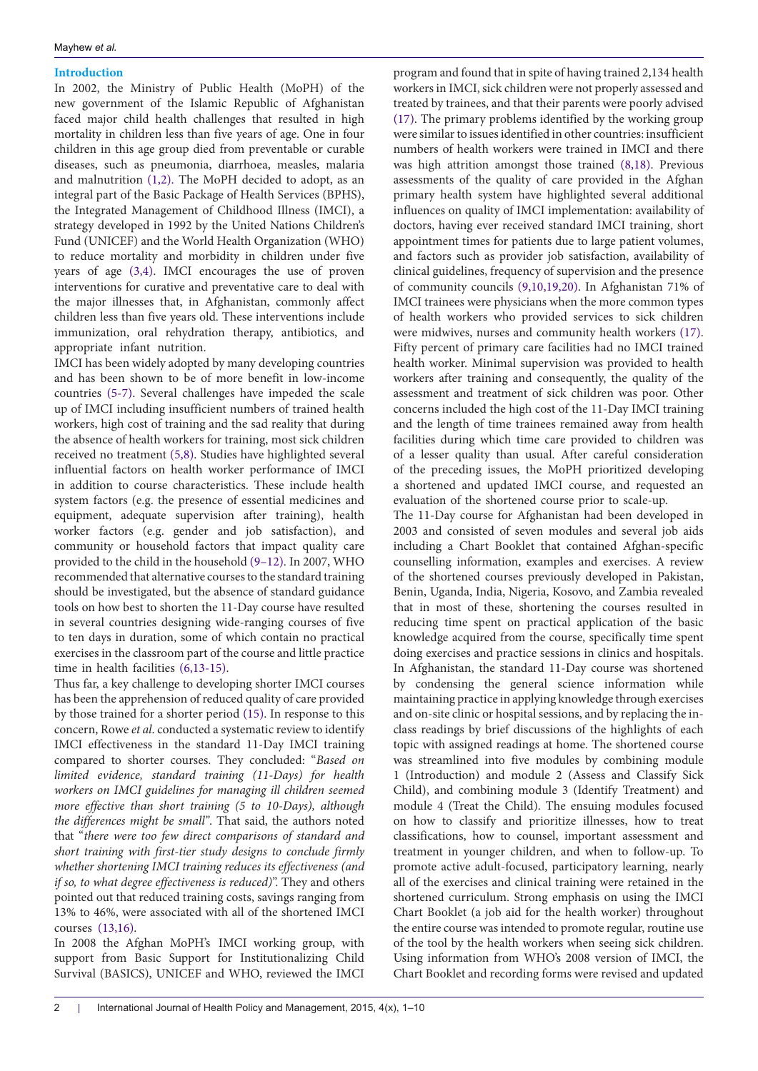# **Introduction**

In 2002, the Ministry of Public Health (MoPH) of the new government of the Islamic Republic of Afghanistan faced major child health challenges that resulted in high mortality in children less than five years of age. One in four children in this age group died from preventable or curable diseases, such as pneumonia, diarrhoea, measles, malaria and malnutrition [\(1](#page-9-4)[,2](#page-9-5)). The MoPH decided to adopt, as an integral part of the Basic Package of Health Services (BPHS), the Integrated Management of Childhood Illness (IMCI), a strategy developed in 1992 by the United Nations Children's Fund (UNICEF) and the World Health Organization (WHO) to reduce mortality and morbidity in children under five years of age ([3,](#page-9-6)[4\)](#page-9-7). IMCI encourages the use of proven interventions for curative and preventative care to deal with the major illnesses that, in Afghanistan, commonly affect children less than five years old. These interventions include immunization, oral rehydration therapy, antibiotics, and appropriate infant nutrition.

IMCI has been widely adopted by many developing countries and has been shown to be of more benefit in low-income countries [\(5](#page-9-8)-[7\)](#page-9-9). Several challenges have impeded the scale up of IMCI including insufficient numbers of trained health workers, high cost of training and the sad reality that during the absence of health workers for training, most sick children received no treatment [\(5,](#page-9-8)8). Studies have highlighted several influential factors on health worker performance of IMCI in addition to course characteristics. These include health system factors (e.g. the presence of essential medicines and equipment, adequate supervision after training), health worker factors (e.g. gender and job satisfaction), and community or household factors that impact quality care provided to the child in the household ([9–](#page-9-10)[12](#page-9-11)). In 2007, WHO recommended that alternative courses to the standard training should be investigated, but the absence of standard guidance tools on how best to shorten the 11-Day course have resulted in several countries designing wide-ranging courses of five to ten days in duration, some of which contain no practical exercises in the classroom part of the course and little practice time in health facilities [\(6](#page-9-12)[,13](#page-9-13)-[15](#page-9-14)).

Thus far, a key challenge to developing shorter IMCI courses has been the apprehension of reduced quality of care provided by those trained for a shorter period [\(15\)](#page-9-14). In response to this concern, Rowe *et al*. conducted a systematic review to identify IMCI effectiveness in the standard 11-Day IMCI training compared to shorter courses. They concluded: "*Based on limited evidence, standard training (11-Days) for health workers on IMCI guidelines for managing ill children seemed more effective than short training (5 to 10-Days), although the differences might be small"*. That said, the authors noted that "*there were too few direct comparisons of standard and short training with first-tier study designs to conclude firmly whether shortening IMCI training reduces its effectiveness (and if so, to what degree effectiveness is reduced)*". They and others pointed out that reduced training costs, savings ranging from 13% to 46%, were associated with all of the shortened IMCI courses [\(13](#page-9-13)[,16\)](#page-9-15).

In 2008 the Afghan MoPH's IMCI working group, with support from Basic Support for Institutionalizing Child Survival (BASICS), UNICEF and WHO, reviewed the IMCI

program and found that in spite of having trained 2,134 health workers in IMCI, sick children were not properly assessed and treated by trainees, and that their parents were poorly advised [\(17](#page-9-16)). The primary problems identified by the working group were similar to issues identified in other countries: insufficient numbers of health workers were trained in IMCI and there was high attrition amongst those trained (8,[18\)](#page-9-17). Previous assessments of the quality of care provided in the Afghan primary health system have highlighted several additional influences on quality of IMCI implementation: availability of doctors, having ever received standard IMCI training, short appointment times for patients due to large patient volumes, and factors such as provider job satisfaction, availability of clinical guidelines, frequency of supervision and the presence of community councils [\(9](#page-9-10)[,10](#page-9-18)[,19,](#page-9-19)[20\)](#page-9-20). In Afghanistan 71% of IMCI trainees were physicians when the more common types of health workers who provided services to sick children were midwives, nurses and community health workers [\(17](#page-9-16)). Fifty percent of primary care facilities had no IMCI trained health worker. Minimal supervision was provided to health workers after training and consequently, the quality of the assessment and treatment of sick children was poor. Other concerns included the high cost of the 11-Day IMCI training and the length of time trainees remained away from health facilities during which time care provided to children was of a lesser quality than usual. After careful consideration of the preceding issues, the MoPH prioritized developing a shortened and updated IMCI course, and requested an evaluation of the shortened course prior to scale-up.

The 11-Day course for Afghanistan had been developed in 2003 and consisted of seven modules and several job aids including a Chart Booklet that contained Afghan-specific counselling information, examples and exercises. A review of the shortened courses previously developed in Pakistan, Benin, Uganda, India, Nigeria, Kosovo, and Zambia revealed that in most of these, shortening the courses resulted in reducing time spent on practical application of the basic knowledge acquired from the course, specifically time spent doing exercises and practice sessions in clinics and hospitals. In Afghanistan, the standard 11-Day course was shortened by condensing the general science information while maintaining practice in applying knowledge through exercises and on-site clinic or hospital sessions, and by replacing the inclass readings by brief discussions of the highlights of each topic with assigned readings at home. The shortened course was streamlined into five modules by combining module 1 (Introduction) and module 2 (Assess and Classify Sick Child), and combining module 3 (Identify Treatment) and module 4 (Treat the Child). The ensuing modules focused on how to classify and prioritize illnesses, how to treat classifications, how to counsel, important assessment and treatment in younger children, and when to follow-up. To promote active adult-focused, participatory learning, nearly all of the exercises and clinical training were retained in the shortened curriculum. Strong emphasis on using the IMCI Chart Booklet (a job aid for the health worker) throughout the entire course was intended to promote regular, routine use of the tool by the health workers when seeing sick children. Using information from WHO's 2008 version of IMCI, the Chart Booklet and recording forms were revised and updated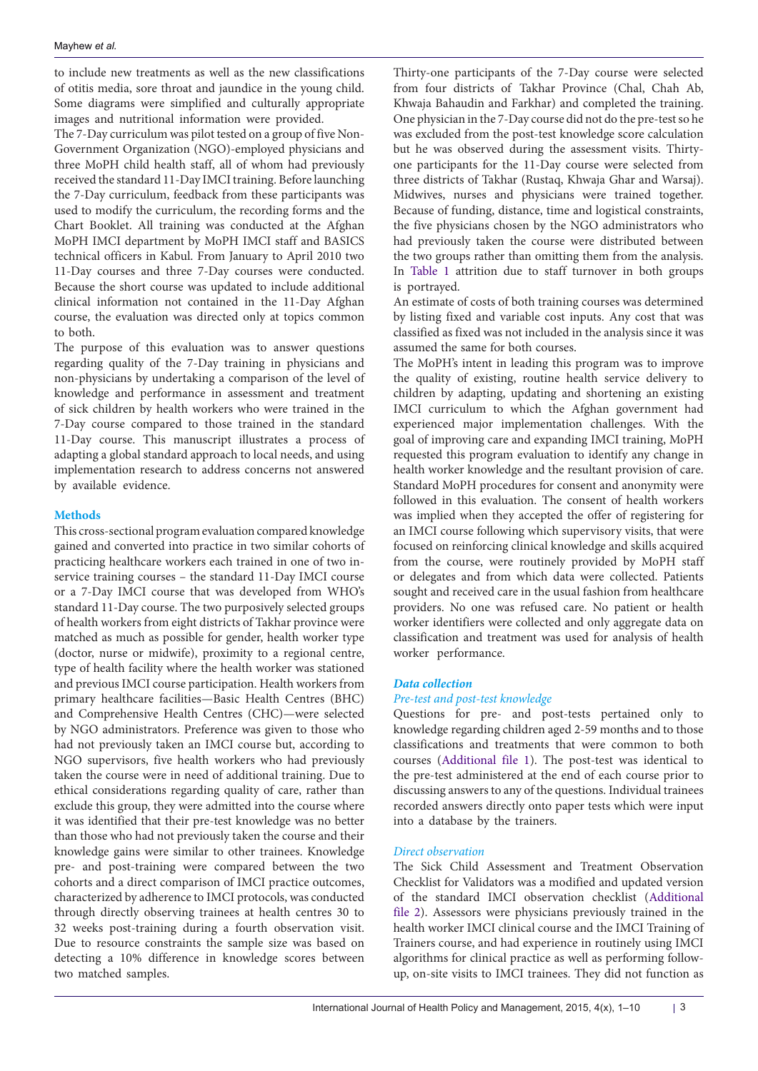to include new treatments as well as the new classifications of otitis media, sore throat and jaundice in the young child. Some diagrams were simplified and culturally appropriate images and nutritional information were provided.

The 7-Day curriculum was pilot tested on a group of five Non-Government Organization (NGO)-employed physicians and three MoPH child health staff, all of whom had previously received the standard 11-Day IMCI training. Before launching the 7-Day curriculum, feedback from these participants was used to modify the curriculum, the recording forms and the Chart Booklet. All training was conducted at the Afghan MoPH IMCI department by MoPH IMCI staff and BASICS technical officers in Kabul. From January to April 2010 two 11-Day courses and three 7-Day courses were conducted. Because the short course was updated to include additional clinical information not contained in the 11-Day Afghan course, the evaluation was directed only at topics common to both.

The purpose of this evaluation was to answer questions regarding quality of the 7-Day training in physicians and non-physicians by undertaking a comparison of the level of knowledge and performance in assessment and treatment of sick children by health workers who were trained in the 7-Day course compared to those trained in the standard 11-Day course. This manuscript illustrates a process of adapting a global standard approach to local needs, and using implementation research to address concerns not answered by available evidence.

# **Methods**

This cross-sectional program evaluation compared knowledge gained and converted into practice in two similar cohorts of practicing healthcare workers each trained in one of two inservice training courses – the standard 11-Day IMCI course or a 7-Day IMCI course that was developed from WHO's standard 11-Day course. The two purposively selected groups of health workers from eight districts of Takhar province were matched as much as possible for gender, health worker type (doctor, nurse or midwife), proximity to a regional centre, type of health facility where the health worker was stationed and previous IMCI course participation. Health workers from primary healthcare facilities—Basic Health Centres (BHC) and Comprehensive Health Centres (CHC)—were selected by NGO administrators. Preference was given to those who had not previously taken an IMCI course but, according to NGO supervisors, five health workers who had previously taken the course were in need of additional training. Due to ethical considerations regarding quality of care, rather than exclude this group, they were admitted into the course where it was identified that their pre-test knowledge was no better than those who had not previously taken the course and their knowledge gains were similar to other trainees. Knowledge pre- and post-training were compared between the two cohorts and a direct comparison of IMCI practice outcomes, characterized by adherence to IMCI protocols, was conducted through directly observing trainees at health centres 30 to 32 weeks post-training during a fourth observation visit. Due to resource constraints the sample size was based on detecting a 10% difference in knowledge scores between two matched samples.

Thirty-one participants of the 7-Day course were selected from four districts of Takhar Province (Chal, Chah Ab, Khwaja Bahaudin and Farkhar) and completed the training. One physician in the 7-Day course did not do the pre-test so he was excluded from the post-test knowledge score calculation but he was observed during the assessment visits. Thirtyone participants for the 11-Day course were selected from three districts of Takhar (Rustaq, Khwaja Ghar and Warsaj). Midwives, nurses and physicians were trained together. Because of funding, distance, time and logistical constraints, the five physicians chosen by the NGO administrators who had previously taken the course were distributed between the two groups rather than omitting them from the analysis. In Table 1 attrition due to staff turnover in both groups is portrayed.

An estimate of costs of both training courses was determined by listing fixed and variable cost inputs. Any cost that was classified as fixed was not included in the analysis since it was assumed the same for both courses.

The MoPH's intent in leading this program was to improve the quality of existing, routine health service delivery to children by adapting, updating and shortening an existing IMCI curriculum to which the Afghan government had experienced major implementation challenges. With the goal of improving care and expanding IMCI training, MoPH requested this program evaluation to identify any change in health worker knowledge and the resultant provision of care. Standard MoPH procedures for consent and anonymity were followed in this evaluation. The consent of health workers was implied when they accepted the offer of registering for an IMCI course following which supervisory visits, that were focused on reinforcing clinical knowledge and skills acquired from the course, were routinely provided by MoPH staff or delegates and from which data were collected. Patients sought and received care in the usual fashion from healthcare providers. No one was refused care. No patient or health worker identifiers were collected and only aggregate data on classification and treatment was used for analysis of health worker performance.

# *Data collection*

# *Pre-test and post-test knowledge*

Questions for pre- and post-tests pertained only to knowledge regarding children aged 2-59 months and to those classifications and treatments that were common to both courses ([Additional file 1](#page-9-21)). The post-test was identical to the pre-test administered at the end of each course prior to discussing answers to any of the questions. Individual trainees recorded answers directly onto paper tests which were input into a database by the trainers.

# *Direct observation*

The Sick Child Assessment and Treatment Observation Checklist for Validators was a modified and updated version of the standard IMCI observation checklist ([Additional](#page-9-21)  [file 2](#page-9-21)). Assessors were physicians previously trained in the health worker IMCI clinical course and the IMCI Training of Trainers course, and had experience in routinely using IMCI algorithms for clinical practice as well as performing followup, on-site visits to IMCI trainees. They did not function as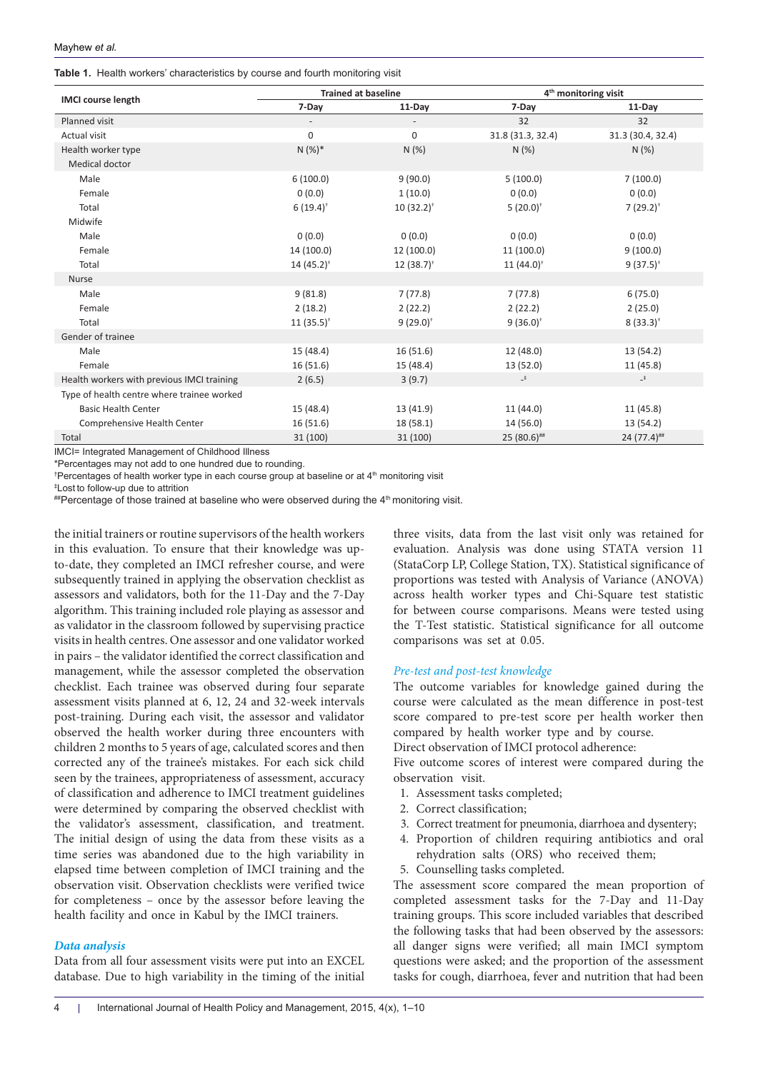#### Mayhew *et al.*

|  | Table 1. Health workers' characteristics by course and fourth monitoring visit |  |  |  |  |  |  |
|--|--------------------------------------------------------------------------------|--|--|--|--|--|--|
|--|--------------------------------------------------------------------------------|--|--|--|--|--|--|

|                                            | <b>Trained at baseline</b> |                         | 4 <sup>th</sup> monitoring visit |                   |  |  |
|--------------------------------------------|----------------------------|-------------------------|----------------------------------|-------------------|--|--|
| <b>IMCI course length</b>                  | 7-Day                      | 11-Day                  | 7-Day                            | 11-Day            |  |  |
| Planned visit                              |                            |                         | 32                               | 32                |  |  |
| Actual visit                               | 0                          | $\mathbf{0}$            | 31.8 (31.3, 32.4)                | 31.3 (30.4, 32.4) |  |  |
| Health worker type                         | $N(%)^*$                   | N(%)                    | N(%)                             | N(%)              |  |  |
| Medical doctor                             |                            |                         |                                  |                   |  |  |
| Male                                       | 6(100.0)                   | 9(90.0)                 | 5(100.0)                         | 7(100.0)          |  |  |
| Female                                     | 0(0.0)                     | 1(10.0)                 | 0(0.0)                           | 0(0.0)            |  |  |
| Total                                      | $6(19.4)$ <sup>+</sup>     | $10(32.2)^+$            | $5(20.0)^+$                      | $7(29.2)^+$       |  |  |
| Midwife                                    |                            |                         |                                  |                   |  |  |
| Male                                       | 0(0.0)                     | 0(0.0)                  | 0(0.0)                           | 0(0.0)            |  |  |
| Female                                     | 14 (100.0)                 | 12 (100.0)              | 11 (100.0)                       | 9(100.0)          |  |  |
| Total                                      | $14(45.2)^+$               | $12(38.7)$ <sup>+</sup> | $11(44.0)^+$                     | $9(37.5)^+$       |  |  |
| Nurse                                      |                            |                         |                                  |                   |  |  |
| Male                                       | 9(81.8)                    | 7(77.8)                 | 7(77.8)                          | 6(75.0)           |  |  |
| Female                                     | 2(18.2)                    | 2(22.2)                 | 2(22.2)                          | 2(25.0)           |  |  |
| Total                                      | $11(35.5)^+$               | $9(29.0)^+$             | $9(36.0)^+$                      | $8(33.3)^+$       |  |  |
| Gender of trainee                          |                            |                         |                                  |                   |  |  |
| Male                                       | 15(48.4)                   | 16(51.6)                | 12(48.0)                         | 13 (54.2)         |  |  |
| Female                                     | 16(51.6)                   | 15 (48.4)               | 13 (52.0)                        | 11 (45.8)         |  |  |
| Health workers with previous IMCI training | 2(6.5)                     | 3(9.7)                  | $\rightarrow$                    | $\rightarrow$     |  |  |
| Type of health centre where trainee worked |                            |                         |                                  |                   |  |  |
| <b>Basic Health Center</b>                 | 15 (48.4)                  | 13 (41.9)               | 11(44.0)                         | 11 (45.8)         |  |  |
| Comprehensive Health Center                | 16(51.6)                   | 18 (58.1)               | 14 (56.0)                        | 13 (54.2)         |  |  |
| Total                                      | 31 (100)                   | 31 (100)                | $25(80.6)$ ##                    | $24(77.4)$ ##     |  |  |

IMCI= Integrated Management of Childhood Illness

\*Percentages may not add to one hundred due to rounding.

 $^\dagger$ Percentages of health worker type in each course group at baseline or at 4th monitoring visit

‡ Lost to follow-up due to attrition

##Percentage of those trained at baseline who were observed during the 4th monitoring visit.

the initial trainers or routine supervisors of the health workers in this evaluation. To ensure that their knowledge was upto-date, they completed an IMCI refresher course, and were subsequently trained in applying the observation checklist as assessors and validators, both for the 11-Day and the 7-Day algorithm. This training included role playing as assessor and as validator in the classroom followed by supervising practice visits in health centres. One assessor and one validator worked in pairs – the validator identified the correct classification and management, while the assessor completed the observation checklist. Each trainee was observed during four separate assessment visits planned at 6, 12, 24 and 32-week intervals post-training. During each visit, the assessor and validator observed the health worker during three encounters with children 2 months to 5 years of age, calculated scores and then corrected any of the trainee's mistakes. For each sick child seen by the trainees, appropriateness of assessment, accuracy of classification and adherence to IMCI treatment guidelines were determined by comparing the observed checklist with the validator's assessment, classification, and treatment. The initial design of using the data from these visits as a time series was abandoned due to the high variability in elapsed time between completion of IMCI training and the observation visit. Observation checklists were verified twice for completeness – once by the assessor before leaving the health facility and once in Kabul by the IMCI trainers.

#### *Data analysis*

Data from all four assessment visits were put into an EXCEL database. Due to high variability in the timing of the initial

three visits, data from the last visit only was retained for evaluation. Analysis was done using STATA version 11 (StataCorp LP, College Station, TX). Statistical significance of proportions was tested with Analysis of Variance (ANOVA) across health worker types and Chi-Square test statistic for between course comparisons. Means were tested using the T-Test statistic. Statistical significance for all outcome comparisons was set at 0.05.

#### *Pre-test and post-test knowledge*

The outcome variables for knowledge gained during the course were calculated as the mean difference in post-test score compared to pre-test score per health worker then compared by health worker type and by course.

Direct observation of IMCI protocol adherence:

Five outcome scores of interest were compared during the observation visit.

- 1. Assessment tasks completed;
- 2. Correct classification;
- 3. Correct treatment for pneumonia, diarrhoea and dysentery;
- 4. Proportion of children requiring antibiotics and oral rehydration salts (ORS) who received them;
- 5. Counselling tasks completed.

The assessment score compared the mean proportion of completed assessment tasks for the 7-Day and 11-Day training groups. This score included variables that described the following tasks that had been observed by the assessors: all danger signs were verified; all main IMCI symptom questions were asked; and the proportion of the assessment tasks for cough, diarrhoea, fever and nutrition that had been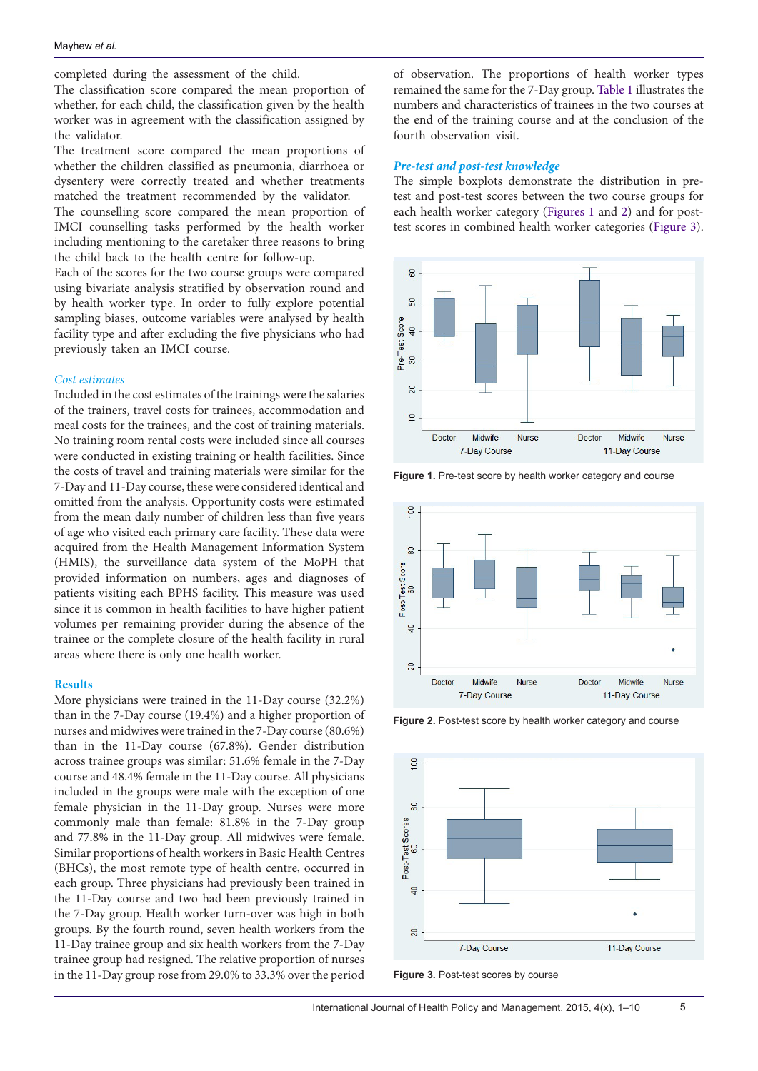completed during the assessment of the child.

The classification score compared the mean proportion of whether, for each child, the classification given by the health worker was in agreement with the classification assigned by the validator.

The treatment score compared the mean proportions of whether the children classified as pneumonia, diarrhoea or dysentery were correctly treated and whether treatments matched the treatment recommended by the validator.

The counselling score compared the mean proportion of IMCI counselling tasks performed by the health worker including mentioning to the caretaker three reasons to bring the child back to the health centre for follow-up.

Each of the scores for the two course groups were compared using bivariate analysis stratified by observation round and by health worker type. In order to fully explore potential sampling biases, outcome variables were analysed by health facility type and after excluding the five physicians who had previously taken an IMCI course.

# *Cost estimates*

Included in the cost estimates of the trainings were the salaries of the trainers, travel costs for trainees, accommodation and meal costs for the trainees, and the cost of training materials. No training room rental costs were included since all courses were conducted in existing training or health facilities. Since the costs of travel and training materials were similar for the 7-Day and 11-Day course, these were considered identical and omitted from the analysis. Opportunity costs were estimated from the mean daily number of children less than five years of age who visited each primary care facility. These data were acquired from the Health Management Information System (HMIS), the surveillance data system of the MoPH that provided information on numbers, ages and diagnoses of patients visiting each BPHS facility. This measure was used since it is common in health facilities to have higher patient volumes per remaining provider during the absence of the trainee or the complete closure of the health facility in rural areas where there is only one health worker.

# **Results**

More physicians were trained in the 11-Day course (32.2%) than in the 7-Day course (19.4%) and a higher proportion of nurses and midwives were trained in the 7-Day course (80.6%) than in the 11-Day course (67.8%). Gender distribution across trainee groups was similar: 51.6% female in the 7-Day course and 48.4% female in the 11-Day course. All physicians included in the groups were male with the exception of one female physician in the 11-Day group. Nurses were more commonly male than female: 81.8% in the 7-Day group and 77.8% in the 11-Day group. All midwives were female. Similar proportions of health workers in Basic Health Centres (BHCs), the most remote type of health centre, occurred in each group. Three physicians had previously been trained in the 11-Day course and two had been previously trained in the 7-Day group. Health worker turn-over was high in both groups. By the fourth round, seven health workers from the 11-Day trainee group and six health workers from the 7-Day trainee group had resigned. The relative proportion of nurses in the 11-Day group rose from 29.0% to 33.3% over the period of observation. The proportions of health worker types remained the same for the 7-Day group. Table 1 illustrates the numbers and characteristics of trainees in the two courses at the end of the training course and at the conclusion of the fourth observation visit.

# *Pre-test and post-test knowledge*

The simple boxplots demonstrate the distribution in pretest and post-test scores between the two course groups for each health worker category ([Figures 1](#page-4-0) and [2\)](#page-4-1) and for posttest scores in combined health worker categories [\(Figure 3](#page-4-2)).

<span id="page-4-0"></span>

<span id="page-4-1"></span>**Figure 1.** Pre-test score by health worker category and course



<span id="page-4-2"></span>**Figure 2.** Post-test score by health worker category and course



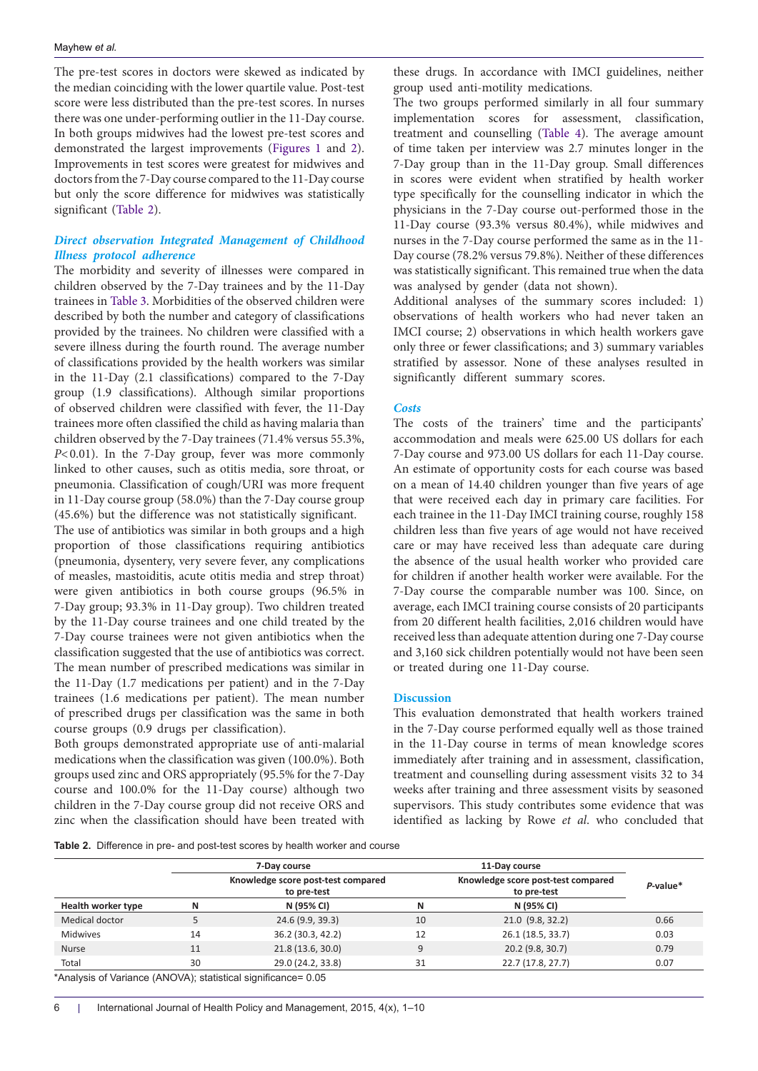The pre-test scores in doctors were skewed as indicated by the median coinciding with the lower quartile value. Post-test score were less distributed than the pre-test scores. In nurses there was one under-performing outlier in the 11-Day course. In both groups midwives had the lowest pre-test scores and demonstrated the largest improvements [\(Figures 1](#page-4-0) and [2\)](#page-4-1). Improvements in test scores were greatest for midwives and doctors from the 7-Day course compared to the 11-Day course but only the score difference for midwives was statistically significant (Table 2).

# *Direct observation Integrated Management of Childhood Illness protocol adherence*

The morbidity and severity of illnesses were compared in children observed by the 7-Day trainees and by the 11-Day trainees in Table 3. Morbidities of the observed children were described by both the number and category of classifications provided by the trainees. No children were classified with a severe illness during the fourth round. The average number of classifications provided by the health workers was similar in the 11-Day (2.1 classifications) compared to the 7-Day group (1.9 classifications). Although similar proportions of observed children were classified with fever, the 11-Day trainees more often classified the child as having malaria than children observed by the 7-Day trainees (71.4% versus 55.3%, *P*<0.01). In the 7-Day group, fever was more commonly linked to other causes, such as otitis media, sore throat, or pneumonia. Classification of cough/URI was more frequent in 11-Day course group (58.0%) than the 7-Day course group (45.6%) but the difference was not statistically significant.

The use of antibiotics was similar in both groups and a high proportion of those classifications requiring antibiotics (pneumonia, dysentery, very severe fever, any complications of measles, mastoiditis, acute otitis media and strep throat) were given antibiotics in both course groups (96.5% in 7-Day group; 93.3% in 11-Day group). Two children treated by the 11-Day course trainees and one child treated by the 7-Day course trainees were not given antibiotics when the classification suggested that the use of antibiotics was correct. The mean number of prescribed medications was similar in the 11-Day (1.7 medications per patient) and in the 7-Day trainees (1.6 medications per patient). The mean number of prescribed drugs per classification was the same in both course groups (0.9 drugs per classification).

Both groups demonstrated appropriate use of anti-malarial medications when the classification was given (100.0%). Both groups used zinc and ORS appropriately (95.5% for the 7-Day course and 100.0% for the 11-Day course) although two children in the 7-Day course group did not receive ORS and zinc when the classification should have been treated with

these drugs. In accordance with IMCI guidelines, neither group used anti-motility medications.

The two groups performed similarly in all four summary implementation scores for assessment, classification, treatment and counselling (Table 4). The average amount of time taken per interview was 2.7 minutes longer in the 7-Day group than in the 11-Day group. Small differences in scores were evident when stratified by health worker type specifically for the counselling indicator in which the physicians in the 7-Day course out-performed those in the 11-Day course (93.3% versus 80.4%), while midwives and nurses in the 7-Day course performed the same as in the 11- Day course (78.2% versus 79.8%). Neither of these differences was statistically significant. This remained true when the data was analysed by gender (data not shown).

Additional analyses of the summary scores included: 1) observations of health workers who had never taken an IMCI course; 2) observations in which health workers gave only three or fewer classifications; and 3) summary variables stratified by assessor. None of these analyses resulted in significantly different summary scores.

#### *Costs*

The costs of the trainers' time and the participants' accommodation and meals were 625.00 US dollars for each 7-Day course and 973.00 US dollars for each 11-Day course. An estimate of opportunity costs for each course was based on a mean of 14.40 children younger than five years of age that were received each day in primary care facilities. For each trainee in the 11-Day IMCI training course, roughly 158 children less than five years of age would not have received care or may have received less than adequate care during the absence of the usual health worker who provided care for children if another health worker were available. For the 7-Day course the comparable number was 100. Since, on average, each IMCI training course consists of 20 participants from 20 different health facilities, 2,016 children would have received less than adequate attention during one 7-Day course and 3,160 sick children potentially would not have been seen or treated during one 11-Day course.

### **Discussion**

This evaluation demonstrated that health workers trained in the 7-Day course performed equally well as those trained in the 11-Day course in terms of mean knowledge scores immediately after training and in assessment, classification, treatment and counselling during assessment visits 32 to 34 weeks after training and three assessment visits by seasoned supervisors. This study contributes some evidence that was identified as lacking by Rowe *et al*. who concluded that

**Table 2.** Difference in pre- and post-test scores by health worker and course

|                    |    | 7-Day course                                      |    | 11-Day course                                     |          |  |
|--------------------|----|---------------------------------------------------|----|---------------------------------------------------|----------|--|
|                    |    | Knowledge score post-test compared<br>to pre-test |    | Knowledge score post-test compared<br>to pre-test | P-value* |  |
| Health worker type | N  | N (95% CI)                                        |    | N (95% CI)                                        |          |  |
| Medical doctor     |    | 24.6 (9.9, 39.3)                                  | 10 | 21.0 (9.8, 32.2)                                  | 0.66     |  |
| <b>Midwives</b>    | 14 | 36.2 (30.3, 42.2)                                 | 12 | 26.1 (18.5, 33.7)                                 | 0.03     |  |
| <b>Nurse</b>       | 11 | 21.8 (13.6, 30.0)                                 | 9  | $20.2$ (9.8, 30.7)                                | 0.79     |  |
| Total              | 30 | 29.0 (24.2, 33.8)                                 | 31 | 22.7 (17.8, 27.7)                                 | 0.07     |  |

\*Analysis of Variance (ANOVA); statistical significance= 0.05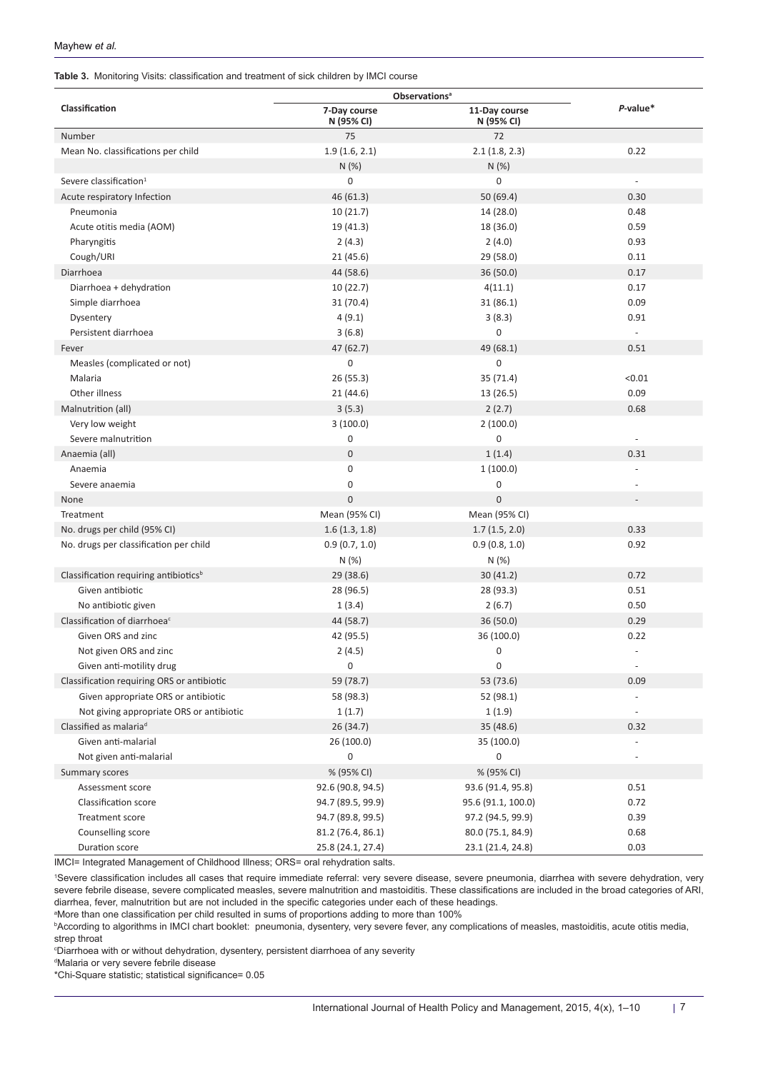### **Table 3.** Monitoring Visits: classification and treatment of sick children by IMCI course

| Classification                                    | Observations <sup>a</sup><br>7-Day course | 11-Day course      | P-value* |  |
|---------------------------------------------------|-------------------------------------------|--------------------|----------|--|
|                                                   | N (95% CI)                                | N (95% CI)         |          |  |
| Number                                            | 75                                        | 72                 |          |  |
| Mean No. classifications per child                | 1.9(1.6, 2.1)                             | 2.1(1.8, 2.3)      | 0.22     |  |
|                                                   | N(%)                                      | N (%)              |          |  |
| Severe classification <sup>1</sup>                | 0                                         | $\mathbf 0$        | $\omega$ |  |
| Acute respiratory Infection                       | 46 (61.3)                                 | 50 (69.4)          | 0.30     |  |
| Pneumonia                                         | 10(21.7)                                  | 14 (28.0)          | 0.48     |  |
| Acute otitis media (AOM)                          | 19 (41.3)                                 | 18 (36.0)          | 0.59     |  |
| Pharyngitis                                       | 2(4.3)                                    | 2(4.0)             | 0.93     |  |
| Cough/URI                                         | 21(45.6)                                  | 29 (58.0)          | 0.11     |  |
| Diarrhoea                                         | 44 (58.6)                                 | 36 (50.0)          | 0.17     |  |
| Diarrhoea + dehydration                           | 10(22.7)                                  | 4(11.1)            | 0.17     |  |
| Simple diarrhoea                                  | 31 (70.4)                                 | 31 (86.1)          | 0.09     |  |
| Dysentery                                         | 4(9.1)                                    | 3(8.3)             | 0.91     |  |
| Persistent diarrhoea                              | 3(6.8)                                    | $\mathsf 0$        | $\omega$ |  |
| Fever                                             | 47 (62.7)                                 | 49 (68.1)          | 0.51     |  |
| Measles (complicated or not)                      | $\boldsymbol{0}$                          | $\mathbf 0$        |          |  |
| Malaria                                           | 26(55.3)                                  | 35(71.4)           | < 0.01   |  |
| Other illness                                     | 21 (44.6)                                 | 13 (26.5)          | 0.09     |  |
| Malnutrition (all)                                | 3(5.3)                                    | 2(2.7)             | 0.68     |  |
| Very low weight                                   | 3(100.0)                                  | 2(100.0)           |          |  |
| Severe malnutrition                               | $\boldsymbol{0}$                          | $\mathbf 0$        |          |  |
| Anaemia (all)                                     | $\boldsymbol{0}$                          | 1(1.4)             | 0.31     |  |
| Anaemia                                           | 0                                         | 1(100.0)           |          |  |
| Severe anaemia                                    | 0                                         | $\boldsymbol{0}$   |          |  |
| None                                              | $\mathbf{0}$                              | $\mathbf{0}$       |          |  |
| Treatment                                         | Mean (95% CI)                             | Mean (95% CI)      |          |  |
| No. drugs per child (95% CI)                      | 1.6(1.3, 1.8)                             | 1.7(1.5, 2.0)      | 0.33     |  |
| No. drugs per classification per child            | 0.9(0.7, 1.0)                             | 0.9(0.8, 1.0)      | 0.92     |  |
|                                                   | N(%)                                      | N(%)               |          |  |
| Classification requiring antibiotics <sup>b</sup> | 29 (38.6)                                 | 30(41.2)           | 0.72     |  |
| Given antibiotic                                  | 28 (96.5)                                 | 28 (93.3)          | 0.51     |  |
| No antibiotic given                               | 1(3.4)                                    | 2(6.7)             | 0.50     |  |
| Classification of diarrhoea <sup>c</sup>          | 44 (58.7)                                 | 36(50.0)           | 0.29     |  |
| Given ORS and zinc                                | 42 (95.5)                                 | 36 (100.0)         | 0.22     |  |
| Not given ORS and zinc                            | 2(4.5)                                    | 0                  |          |  |
| Given anti-motility drug                          | 0                                         | $\boldsymbol{0}$   |          |  |
| Classification requiring ORS or antibiotic        | 59 (78.7)                                 | 53 (73.6)          | 0.09     |  |
| Given appropriate ORS or antibiotic               | 58 (98.3)                                 | 52 (98.1)          |          |  |
| Not giving appropriate ORS or antibiotic          | 1(1.7)                                    | 1(1.9)             |          |  |
| Classified as malaria <sup>d</sup>                | 26 (34.7)                                 | 35(48.6)           | 0.32     |  |
| Given anti-malarial                               | 26 (100.0)                                | 35 (100.0)         |          |  |
| Not given anti-malarial                           | 0                                         | 0                  |          |  |
| Summary scores                                    | % (95% CI)                                | % (95% CI)         |          |  |
| Assessment score                                  | 92.6 (90.8, 94.5)                         | 93.6 (91.4, 95.8)  | 0.51     |  |
| Classification score                              | 94.7 (89.5, 99.9)                         | 95.6 (91.1, 100.0) | 0.72     |  |
| Treatment score                                   | 94.7 (89.8, 99.5)                         | 97.2 (94.5, 99.9)  | 0.39     |  |
| Counselling score                                 | 81.2 (76.4, 86.1)                         | 80.0 (75.1, 84.9)  | 0.68     |  |
| Duration score                                    | 25.8 (24.1, 27.4)                         | 23.1 (21.4, 24.8)  | 0.03     |  |

IMCI= Integrated Management of Childhood Illness; ORS= oral rehydration salts.

1 Severe classification includes all cases that require immediate referral: very severe disease, severe pneumonia, diarrhea with severe dehydration, very severe febrile disease, severe complicated measles, severe malnutrition and mastoiditis. These classifications are included in the broad categories of ARI, diarrhea, fever, malnutrition but are not included in the specific categories under each of these headings.

 $^{\circ}$ More than one classification per child resulted in sums of proportions adding to more than 100%

b According to algorithms in IMCI chart booklet: pneumonia, dysentery, very severe fever, any complications of measles, mastoiditis, acute otitis media, strep throat

c Diarrhoea with or without dehydration, dysentery, persistent diarrhoea of any severity

d Malaria or very severe febrile disease

\*Chi-Square statistic; statistical significance= 0.05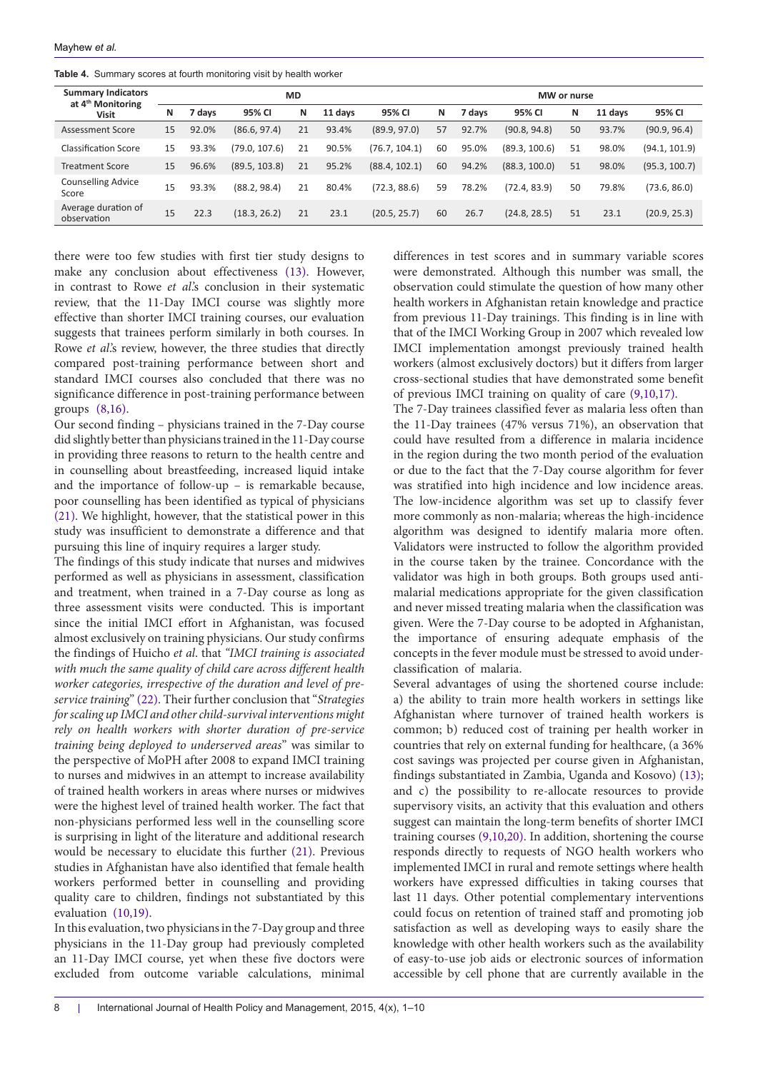**Table 4.** Summary scores at fourth monitoring visit by health worker

| <b>Summary Indicators</b><br>at 4 <sup>th</sup> Monitoring | <b>MD</b> |        |               |    |         |               | MW or nurse |        |               |    |         |               |
|------------------------------------------------------------|-----------|--------|---------------|----|---------|---------------|-------------|--------|---------------|----|---------|---------------|
| Visit                                                      | N         | 7 davs | 95% CI        | N  | 11 davs | 95% CI        | N           | 7 days | 95% CI        | N  | 11 davs | 95% CI        |
| Assessment Score                                           | 15        | 92.0%  | (86.6, 97.4)  | 21 | 93.4%   | (89.9, 97.0)  | 57          | 92.7%  | (90.8, 94.8)  | 50 | 93.7%   | (90.9, 96.4)  |
| <b>Classification Score</b>                                | 15        | 93.3%  | (79.0. 107.6) | 21 | 90.5%   | (76.7, 104.1) | 60          | 95.0%  | (89.3, 100.6) | 51 | 98.0%   | (94.1, 101.9) |
| <b>Treatment Score</b>                                     | 15        | 96.6%  | (89.5, 103.8) | 21 | 95.2%   | (88.4, 102.1) | 60          | 94.2%  | (88.3, 100.0) | 51 | 98.0%   | (95.3, 100.7) |
| <b>Counselling Advice</b><br>Score                         | 15        | 93.3%  | (88.2, 98.4)  | 21 | 80.4%   | (72.3, 88.6)  | 59          | 78.2%  | (72.4, 83.9)  | 50 | 79.8%   | (73.6, 86.0)  |
| Average duration of<br>observation                         | 15        | 22.3   | (18.3, 26.2)  | 21 | 23.1    | (20.5, 25.7)  | 60          | 26.7   | (24.8, 28.5)  | 51 | 23.1    | (20.9, 25.3)  |

there were too few studies with first tier study designs to make any conclusion about effectiveness [\(13](#page-9-13)). However, in contrast to Rowe *et al*.'s conclusion in their systematic review, that the 11-Day IMCI course was slightly more effective than shorter IMCI training courses, our evaluation suggests that trainees perform similarly in both courses. In Rowe *et al*.'s review, however, the three studies that directly compared post-training performance between short and standard IMCI courses also concluded that there was no significance difference in post-training performance between groups (8,[16\)](#page-9-15).

Our second finding – physicians trained in the 7-Day course did slightly better than physicians trained in the 11-Day course in providing three reasons to return to the health centre and in counselling about breastfeeding, increased liquid intake and the importance of follow-up – is remarkable because, poor counselling has been identified as typical of physicians ([21\)](#page-9-22). We highlight, however, that the statistical power in this study was insufficient to demonstrate a difference and that pursuing this line of inquiry requires a larger study.

The findings of this study indicate that nurses and midwives performed as well as physicians in assessment, classification and treatment, when trained in a 7-Day course as long as three assessment visits were conducted. This is important since the initial IMCI effort in Afghanistan, was focused almost exclusively on training physicians. Our study confirms the findings of Huicho *et al*. that *"IMCI training is associated with much the same quality of child care across different health worker categories, irrespective of the duration and level of preservice training*" [\(22\)](#page-9-23). Their further conclusion that "*Strategies for scaling up IMCI and other child-survival interventions might rely on health workers with shorter duration of pre-service training being deployed to underserved areas*" was similar to the perspective of MoPH after 2008 to expand IMCI training to nurses and midwives in an attempt to increase availability of trained health workers in areas where nurses or midwives were the highest level of trained health worker. The fact that non-physicians performed less well in the counselling score is surprising in light of the literature and additional research would be necessary to elucidate this further [\(21](#page-9-22)). Previous studies in Afghanistan have also identified that female health workers performed better in counselling and providing quality care to children, findings not substantiated by this evaluation [\(10,](#page-9-18)[19\)](#page-9-19).

In this evaluation, two physicians in the 7-Day group and three physicians in the 11-Day group had previously completed an 11-Day IMCI course, yet when these five doctors were excluded from outcome variable calculations, minimal

differences in test scores and in summary variable scores were demonstrated. Although this number was small, the observation could stimulate the question of how many other health workers in Afghanistan retain knowledge and practice from previous 11-Day trainings. This finding is in line with that of the IMCI Working Group in 2007 which revealed low IMCI implementation amongst previously trained health workers (almost exclusively doctors) but it differs from larger cross-sectional studies that have demonstrated some benefit of previous IMCI training on quality of care [\(9](#page-9-10)[,10](#page-9-18)[,17\)](#page-9-16).

The 7-Day trainees classified fever as malaria less often than the 11-Day trainees (47% versus 71%), an observation that could have resulted from a difference in malaria incidence in the region during the two month period of the evaluation or due to the fact that the 7-Day course algorithm for fever was stratified into high incidence and low incidence areas. The low-incidence algorithm was set up to classify fever more commonly as non-malaria; whereas the high-incidence algorithm was designed to identify malaria more often. Validators were instructed to follow the algorithm provided in the course taken by the trainee. Concordance with the validator was high in both groups. Both groups used antimalarial medications appropriate for the given classification and never missed treating malaria when the classification was given. Were the 7-Day course to be adopted in Afghanistan, the importance of ensuring adequate emphasis of the concepts in the fever module must be stressed to avoid underclassification of malaria.

Several advantages of using the shortened course include: a) the ability to train more health workers in settings like Afghanistan where turnover of trained health workers is common; b) reduced cost of training per health worker in countries that rely on external funding for healthcare, (a 36% cost savings was projected per course given in Afghanistan, findings substantiated in Zambia, Uganda and Kosovo) [\(13](#page-9-13)); and c) the possibility to re-allocate resources to provide supervisory visits, an activity that this evaluation and others suggest can maintain the long-term benefits of shorter IMCI training courses [\(9](#page-9-10)[,10](#page-9-18)[,20\)](#page-9-20). In addition, shortening the course responds directly to requests of NGO health workers who implemented IMCI in rural and remote settings where health workers have expressed difficulties in taking courses that last 11 days. Other potential complementary interventions could focus on retention of trained staff and promoting job satisfaction as well as developing ways to easily share the knowledge with other health workers such as the availability of easy-to-use job aids or electronic sources of information accessible by cell phone that are currently available in the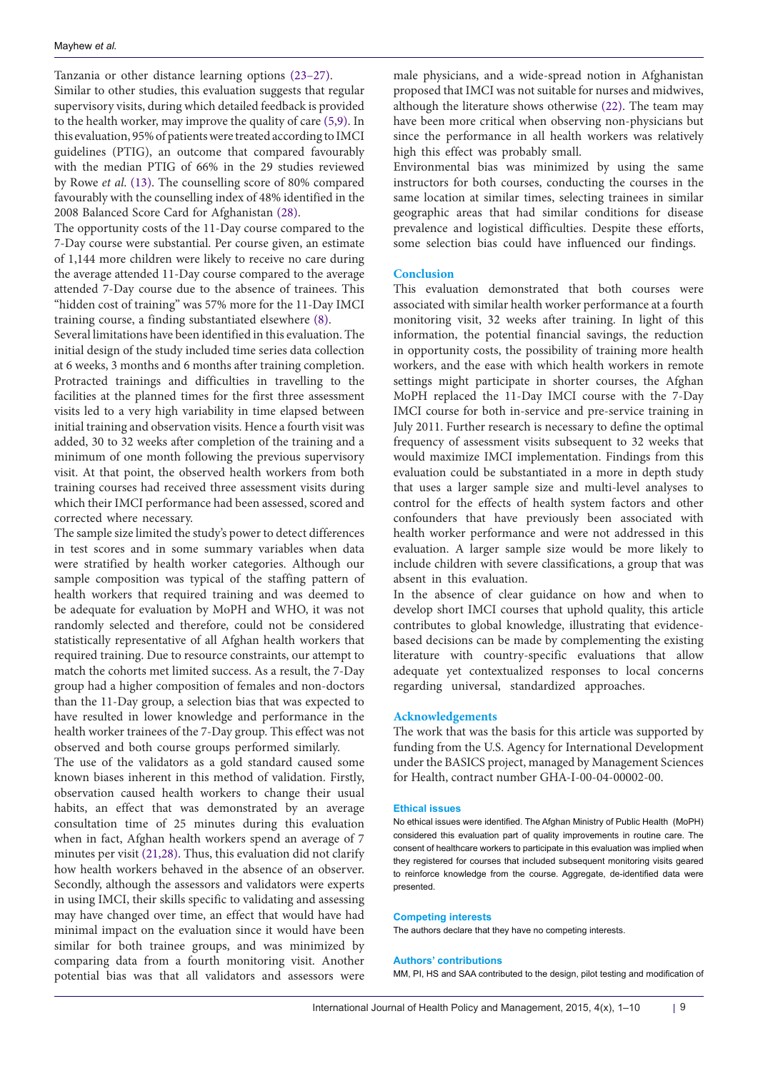Tanzania or other distance learning options [\(23](#page-9-24)[–27\)](#page-9-25).

Similar to other studies, this evaluation suggests that regular supervisory visits, during which detailed feedback is provided to the health worker, may improve the quality of care ([5,](#page-9-8)[9\)](#page-9-10). In this evaluation, 95% of patients were treated according to IMCI guidelines (PTIG), an outcome that compared favourably with the median PTIG of 66% in the 29 studies reviewed by Rowe *et al*. [\(13\)](#page-9-13). The counselling score of 80% compared favourably with the counselling index of 48% identified in the 2008 Balanced Score Card for Afghanistan ([28](#page-9-26)).

The opportunity costs of the 11-Day course compared to the 7-Day course were substantial. Per course given, an estimate of 1,144 more children were likely to receive no care during the average attended 11-Day course compared to the average attended 7-Day course due to the absence of trainees. This "hidden cost of training" was 57% more for the 11-Day IMCI training course, a finding substantiated elsewhere (8).

Several limitations have been identified in this evaluation. The initial design of the study included time series data collection at 6 weeks, 3 months and 6 months after training completion. Protracted trainings and difficulties in travelling to the facilities at the planned times for the first three assessment visits led to a very high variability in time elapsed between initial training and observation visits. Hence a fourth visit was added, 30 to 32 weeks after completion of the training and a minimum of one month following the previous supervisory visit. At that point, the observed health workers from both training courses had received three assessment visits during which their IMCI performance had been assessed, scored and corrected where necessary.

The sample size limited the study's power to detect differences in test scores and in some summary variables when data were stratified by health worker categories. Although our sample composition was typical of the staffing pattern of health workers that required training and was deemed to be adequate for evaluation by MoPH and WHO, it was not randomly selected and therefore, could not be considered statistically representative of all Afghan health workers that required training. Due to resource constraints, our attempt to match the cohorts met limited success. As a result, the 7-Day group had a higher composition of females and non-doctors than the 11-Day group, a selection bias that was expected to have resulted in lower knowledge and performance in the health worker trainees of the 7-Day group. This effect was not observed and both course groups performed similarly.

The use of the validators as a gold standard caused some known biases inherent in this method of validation. Firstly, observation caused health workers to change their usual habits, an effect that was demonstrated by an average consultation time of 25 minutes during this evaluation when in fact, Afghan health workers spend an average of 7 minutes per visit ([21](#page-9-22),[28](#page-9-26)). Thus, this evaluation did not clarify how health workers behaved in the absence of an observer. Secondly, although the assessors and validators were experts in using IMCI, their skills specific to validating and assessing may have changed over time, an effect that would have had minimal impact on the evaluation since it would have been similar for both trainee groups, and was minimized by comparing data from a fourth monitoring visit. Another potential bias was that all validators and assessors were male physicians, and a wide-spread notion in Afghanistan proposed that IMCI was not suitable for nurses and midwives, although the literature shows otherwise ([22](#page-9-23)). The team may have been more critical when observing non-physicians but since the performance in all health workers was relatively high this effect was probably small.

Environmental bias was minimized by using the same instructors for both courses, conducting the courses in the same location at similar times, selecting trainees in similar geographic areas that had similar conditions for disease prevalence and logistical difficulties. Despite these efforts, some selection bias could have influenced our findings.

# **Conclusion**

This evaluation demonstrated that both courses were associated with similar health worker performance at a fourth monitoring visit, 32 weeks after training. In light of this information, the potential financial savings, the reduction in opportunity costs, the possibility of training more health workers, and the ease with which health workers in remote settings might participate in shorter courses, the Afghan MoPH replaced the 11-Day IMCI course with the 7-Day IMCI course for both in-service and pre-service training in July 2011. Further research is necessary to define the optimal frequency of assessment visits subsequent to 32 weeks that would maximize IMCI implementation. Findings from this evaluation could be substantiated in a more in depth study that uses a larger sample size and multi-level analyses to control for the effects of health system factors and other confounders that have previously been associated with health worker performance and were not addressed in this evaluation. A larger sample size would be more likely to include children with severe classifications, a group that was absent in this evaluation.

In the absence of clear guidance on how and when to develop short IMCI courses that uphold quality, this article contributes to global knowledge, illustrating that evidencebased decisions can be made by complementing the existing literature with country-specific evaluations that allow adequate yet contextualized responses to local concerns regarding universal, standardized approaches.

# **Acknowledgements**

The work that was the basis for this article was supported by funding from the U.S. Agency for International Development under the BASICS project, managed by Management Sciences for Health, contract number GHA-I-00-04-00002-00.

#### **Ethical issues**

No ethical issues were identified. The Afghan Ministry of Public Health (MoPH) considered this evaluation part of quality improvements in routine care. The consent of healthcare workers to participate in this evaluation was implied when they registered for courses that included subsequent monitoring visits geared to reinforce knowledge from the course. Aggregate, de-identified data were presented.

#### **Competing interests**

The authors declare that they have no competing interests.

# **Authors' contributions**

MM, PI, HS and SAA contributed to the design, pilot testing and modification of